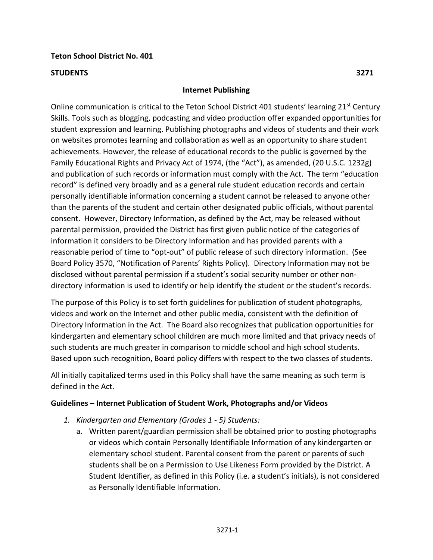### **Teton School District No. 401**

#### **STUDENTS 3271**

#### **Internet Publishing**

Online communication is critical to the Teton School District 401 students' learning 21<sup>st</sup> Century Skills. Tools such as blogging, podcasting and video production offer expanded opportunities for student expression and learning. Publishing photographs and videos of students and their work on websites promotes learning and collaboration as well as an opportunity to share student achievements. However, the release of educational records to the public is governed by the Family Educational Rights and Privacy Act of 1974, (the "Act"), as amended, (20 U.S.C. 1232g) and publication of such records or information must comply with the Act. The term "education record" is defined very broadly and as a general rule student education records and certain personally identifiable information concerning a student cannot be released to anyone other than the parents of the student and certain other designated public officials, without parental consent. However, Directory Information, as defined by the Act, may be released without parental permission, provided the District has first given public notice of the categories of information it considers to be Directory Information and has provided parents with a reasonable period of time to "opt-out" of public release of such directory information. (See Board Policy 3570, "Notification of Parents' Rights Policy). Directory Information may not be disclosed without parental permission if a student's social security number or other nondirectory information is used to identify or help identify the student or the student's records.

The purpose of this Policy is to set forth guidelines for publication of student photographs, videos and work on the Internet and other public media, consistent with the definition of Directory Information in the Act. The Board also recognizes that publication opportunities for kindergarten and elementary school children are much more limited and that privacy needs of such students are much greater in comparison to middle school and high school students. Based upon such recognition, Board policy differs with respect to the two classes of students.

All initially capitalized terms used in this Policy shall have the same meaning as such term is defined in the Act.

### **Guidelines – Internet Publication of Student Work, Photographs and/or Videos**

- *1. Kindergarten and Elementary (Grades 1 5) Students:* 
	- a. Written parent/guardian permission shall be obtained prior to posting photographs or videos which contain Personally Identifiable Information of any kindergarten or elementary school student. Parental consent from the parent or parents of such students shall be on a Permission to Use Likeness Form provided by the District. A Student Identifier, as defined in this Policy (i.e. a student's initials), is not considered as Personally Identifiable Information.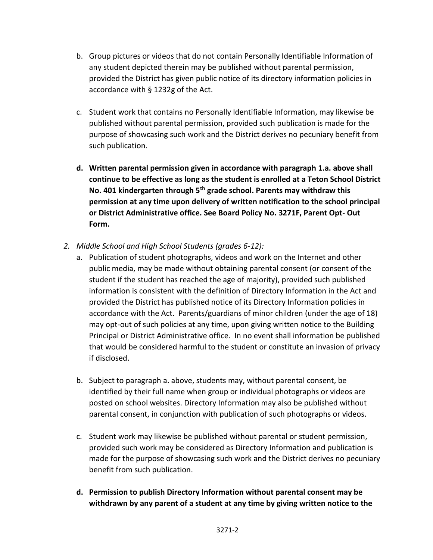- b. Group pictures or videos that do not contain Personally Identifiable Information of any student depicted therein may be published without parental permission, provided the District has given public notice of its directory information policies in accordance with § 1232g of the Act.
- c. Student work that contains no Personally Identifiable Information, may likewise be published without parental permission, provided such publication is made for the purpose of showcasing such work and the District derives no pecuniary benefit from such publication.
- **d. Written parental permission given in accordance with paragraph 1.a. above shall continue to be effective as long as the student is enrolled at a Teton School District No. 401 kindergarten through 5th grade school. Parents may withdraw this permission at any time upon delivery of written notification to the school principal or District Administrative office. See Board Policy No. 3271F, Parent Opt- Out Form.**
- *2. Middle School and High School Students (grades 6-12):* 
	- a. Publication of student photographs, videos and work on the Internet and other public media, may be made without obtaining parental consent (or consent of the student if the student has reached the age of majority), provided such published information is consistent with the definition of Directory Information in the Act and provided the District has published notice of its Directory Information policies in accordance with the Act. Parents/guardians of minor children (under the age of 18) may opt-out of such policies at any time, upon giving written notice to the Building Principal or District Administrative office. In no event shall information be published that would be considered harmful to the student or constitute an invasion of privacy if disclosed.
	- b. Subject to paragraph a. above, students may, without parental consent, be identified by their full name when group or individual photographs or videos are posted on school websites. Directory Information may also be published without parental consent, in conjunction with publication of such photographs or videos.
	- c. Student work may likewise be published without parental or student permission, provided such work may be considered as Directory Information and publication is made for the purpose of showcasing such work and the District derives no pecuniary benefit from such publication.
	- **d. Permission to publish Directory Information without parental consent may be withdrawn by any parent of a student at any time by giving written notice to the**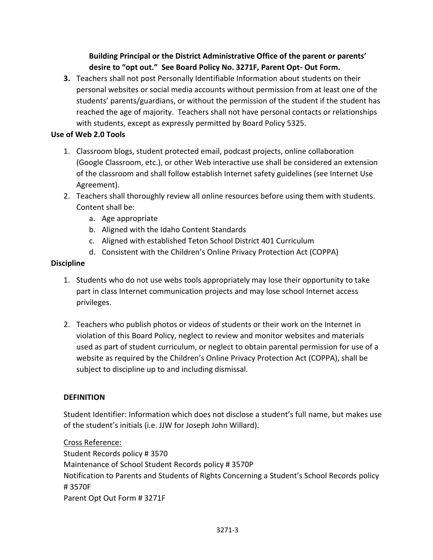# **Building Principal or the District Administrative Office of the parent or parents' desire to "opt out." See Board Policy No. 3271F, Parent Opt- Out Form.**

**3.** Teachers shall not post Personally Identifiable Information about students on their personal websites or social media accounts without permission from at least one of the students' parents/guardians, or without the permission of the student if the student has reached the age of majority. Teachers shall not have personal contacts or relationships with students, except as expressly permitted by Board Policy 5325.

### **Use of Web 2.0 Tools**

- 1. Classroom blogs, student protected email, podcast projects, online collaboration (Google Classroom, etc.), or other Web interactive use shall be considered an extension of the classroom and shall follow establish Internet safety guidelines (see Internet Use Agreement).
- 2. Teachers shall thoroughly review all online resources before using them with students. Content shall be:
	- a. Age appropriate
	- b. Aligned with the Idaho Content Standards
	- c. Aligned with established Teton School District 401 Curriculum
	- d. Consistent with the Children's Online Privacy Protection Act (COPPA)

# **Discipline**

- 1. Students who do not use webs tools appropriately may lose their opportunity to take part in class Internet communication projects and may lose school Internet access privileges.
- 2. Teachers who publish photos or videos of students or their work on the Internet in violation of this Board Policy, neglect to review and monitor websites and materials used as part of student curriculum, or neglect to obtain parental permission for use of a website as required by the Children's Online Privacy Protection Act (COPPA), shall be subject to discipline up to and including dismissal.

# **DEFINITION**

Student Identifier: Information which does not disclose a student's full name, but makes use of the student's initials (i.e. JJW for Joseph John Willard).

Cross Reference: Student Records policy # 3570 Maintenance of School Student Records policy # 3570P Notification to Parents and Students of Rights Concerning a Student's School Records policy # 3570F Parent Opt Out Form # 3271F